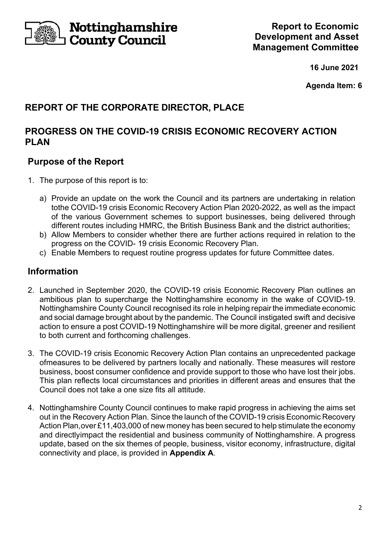

Nottinghamshire Gounty Council

**16 June 2021** 

**Agenda Item: 6** 

# **REPORT OF THE CORPORATE DIRECTOR, PLACE**

### **PROGRESS ON THE COVID-19 CRISIS ECONOMIC RECOVERY ACTION PLAN**

### **Purpose of the Report**

- 1. The purpose of this report is to:
	- a) Provide an update on the work the Council and its partners are undertaking in relation to the COVID-19 crisis Economic Recovery Action Plan 2020-2022, as well as the impact of the various Government schemes to support businesses, being delivered through different routes including HMRC, the British Business Bank and the district authorities;
	- b) Allow Members to consider whether there are further actions required in relation to the progress on the COVID- 19 crisis Economic Recovery Plan.
	- c) Enable Members to request routine progress updates for future Committee dates.

## **Information**

- 2. Launched in September 2020, the COVID-19 crisis Economic Recovery Plan outlines an ambitious plan to supercharge the Nottinghamshire economy in the wake of COVID-19. Nottinghamshire County Council recognised its role in helping repair the immediate economic and social damage brought about by the pandemic. The Council instigated swift and decisive action to ensure a post COVID-19 Nottinghamshire will be more digital, greener and resilient to both current and forthcoming challenges.
- 3. The COVID-19 crisis Economic Recovery Action Plan contains an unprecedented package of measures to be delivered by partners locally and nationally. These measures will restore business, boost consumer confidence and provide support to those who have lost their jobs. This plan reflects local circumstances and priorities in different areas and ensures that the Council does not take a one size fits all attitude.
- 4. Nottinghamshire County Council continues to make rapid progress in achieving the aims set out in the Recovery Action Plan. Since the launch of the COVID-19 crisis Economic Recovery Action Plan, over £11,403,000 of new money has been secured to help stimulate the economy and directly impact the residential and business community of Notting hamshire. A progress update, based on the six themes of people, business, visitor economy, infrastructure, digital connectivity and place, is provided in **Appendix A**.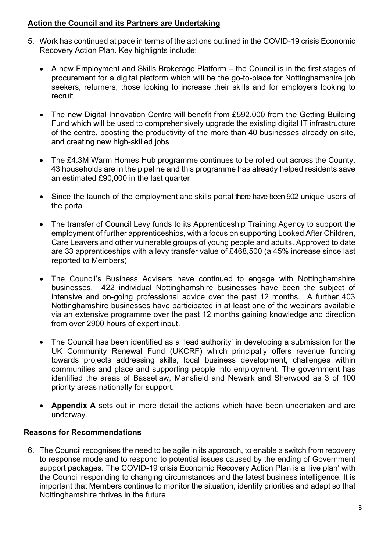#### **Action the Council and its Partners are Undertaking**

- 5. Work has continued at pace in terms of the actions outlined in the COVID-19 crisis Economic Recovery Action Plan. Key highlights include:
	- A new Employment and Skills Brokerage Platform the Council is in the first stages of procurement for a digital platform which will be the go-to-place for Nottinghamshire job seekers, returners, those looking to increase their skills and for employers looking to recruit
	- The new Digital Innovation Centre will benefit from £592,000 from the Getting Building Fund which will be used to comprehensively upgrade the existing digital IT infrastructure of the centre, boosting the productivity of the more than 40 businesses already on site, and creating new high-skilled jobs
	- The £4.3M Warm Homes Hub programme continues to be rolled out across the County. 43 households are in the pipeline and this programme has already helped residents save an estimated £90,000 in the last quarter
	- Since the launch of the employment and skills portal there have been 902 unique users of the portal
	- The transfer of Council Levy funds to its Apprenticeship Training Agency to support the employment of further apprenticeships, with a focus on supporting Looked After Children, Care Leavers and other vulnerable groups of young people and adults. Approved to date are 33 apprenticeships with a levy transfer value of £468,500 (a 45% increase since last reported to Members)
	- The Council's Business Advisers have continued to engage with Nottinghamshire businesses. 422 individual Nottinghamshire businesses have been the subject of intensive and on-going professional advice over the past 12 months. A further 403 Nottinghamshire businesses have participated in at least one of the webinars available via an extensive programme over the past 12 months gaining knowledge and direction from over 2900 hours of expert input.
	- The Council has been identified as a 'lead authority' in developing a submission for the UK Community Renewal Fund (UKCRF) which principally offers revenue funding towards projects addressing skills, local business development, challenges within communities and place and supporting people into employment. The government has identified the areas of Bassetlaw, Mansfield and Newark and Sherwood as 3 of 100 priority areas nationally for support.
	- **Appendix A** sets out in more detail the actions which have been undertaken and are underway.

### **Reasons for Recommendations**

6. The Council recognises the need to be agile in its approach, to enable a switch from recovery to response mode and to respond to potential issues caused by the ending of Government support packages. The COVID-19 crisis Economic Recovery Action Plan is a 'live plan' with the Council responding to changing circumstances and the latest business intelligence. It is important that Members continue to monitor the situation, identify priorities and adapt so that Nottinghamshire thrives in the future.